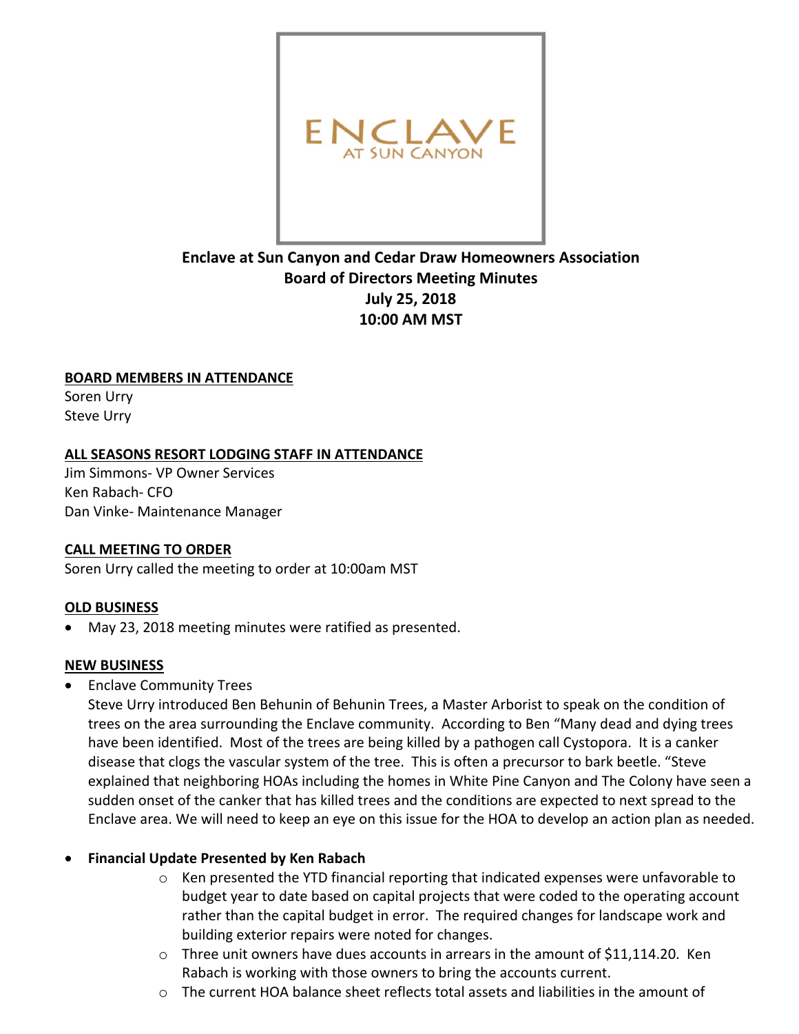

# **Enclave at Sun Canyon and Cedar Draw Homeowners Association Board of Directors Meeting Minutes July 25, 2018 10:00 AM MST**

### **BOARD MEMBERS IN ATTENDANCE**

Soren Urry Steve Urry

### **ALL SEASONS RESORT LODGING STAFF IN ATTENDANCE**

Jim Simmons- VP Owner Services Ken Rabach- CFO Dan Vinke- Maintenance Manager

### **CALL MEETING TO ORDER**

Soren Urry called the meeting to order at 10:00am MST

# **OLD BUSINESS**

• May 23, 2018 meeting minutes were ratified as presented.

### **NEW BUSINESS**

• Enclave Community Trees

Steve Urry introduced Ben Behunin of Behunin Trees, a Master Arborist to speak on the condition of trees on the area surrounding the Enclave community. According to Ben "Many dead and dying trees have been identified. Most of the trees are being killed by a pathogen call Cystopora. It is a canker disease that clogs the vascular system of the tree. This is often a precursor to bark beetle. "Steve explained that neighboring HOAs including the homes in White Pine Canyon and The Colony have seen a sudden onset of the canker that has killed trees and the conditions are expected to next spread to the Enclave area. We will need to keep an eye on this issue for the HOA to develop an action plan as needed.

# • **Financial Update Presented by Ken Rabach**

- $\circ$  Ken presented the YTD financial reporting that indicated expenses were unfavorable to budget year to date based on capital projects that were coded to the operating account rather than the capital budget in error. The required changes for landscape work and building exterior repairs were noted for changes.
- $\circ$  Three unit owners have dues accounts in arrears in the amount of \$11,114.20. Ken Rabach is working with those owners to bring the accounts current.
- $\circ$  The current HOA balance sheet reflects total assets and liabilities in the amount of